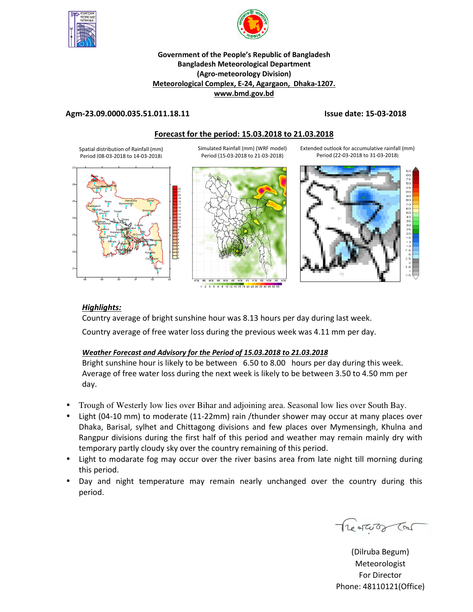

27



#### **Government of the People's Republic of Bangladesh Bangladesh Meteorological Department (Agro-meteorology Division) Meteorological Complex, E-24, Agargaon, Dhaka-1207. www.bmd.gov.bd**

#### **Agm-23.09.0000.035.51.011.18.11 Issue date: 15-03-2018**

#### **Forecast for the period: 15.03.2018 to 21.03.2018**

Spatial distribution of Rainfall (mm) Period (08-03-2018 to 14-03-2018)

Simulated Rainfall (mm) (WRF model) Period (15-03-2018 to 21-03-2018)

88 89 90 91 92 93 21 22 23 24 25 26 0 0 0 0 0 0 0 **Regerign** 0 0 0 0 0 0 0 T T 0 0 0 0 0 T 0 21 0 0 0 ۶ 0 0 2  $\mathbf 0$ 0 Dhaka Faridpur Mada <sub>i</sub>pu Tangail Gopalgonj Mymensingh Netrokona Chittagong Sitakunda <sub>ngamat</sub>i Cox<sup>818</sup>azar Teknaf Hatiya Sandwig Kutubdia Feni M.Court **Chandpur** Comilla Sylhet R<mark>ei</mark>shahi <sub>Tarash</sub> Tangal Manazarta Srimongal Bogra Ishurdi Badalgachi Tarash Os ayednam Barthat Tetulia Dgula Khulna Mengla Jessore Cituadanga Sa<mark>tkhira</mark> Kumarkhali Bar<sub>isa</sub>l Bh Patuakhali Khepupara



1 2 3 5 6 8 10 12 14 16 18 20 25 30 35 40 45 50

Extended outlook for accumulative rainfall (mm) Period (22-03-2018 to 31-03-2018)



### *Highlights:*

Country average of bright sunshine hour was 8.13 hours per day during last week. Country average of free water loss during the previous week was 4.11 mm per day.

### *Weather Forecast and Advisory for the Period of 15.03.2018 to 21.03.2018*

Bright sunshine hour is likely to be between 6.50 to 8.00 hours per day during this week. Average of free water loss during the next week is likely to be between 3.50 to 4.50 mm per day.

- Trough of Westerly low lies over Bihar and adjoining area. Seasonal low lies over South Bay.
- Light (04-10 mm) to moderate (11-22mm) rain /thunder shower may occur at many places over Dhaka, Barisal, sylhet and Chittagong divisions and few places over Mymensingh, Khulna and Rangpur divisions during the first half of this period and weather may remain mainly dry with temporary partly cloudy sky over the country remaining of this period.
- Light to modarate fog may occur over the river basins area from late night till morning during this period.
- Day and night temperature may remain nearly unchanged over the country during this period.

Treatures Tras

(Dilruba Begum) Meteorologist For Director Phone: 48110121(Office)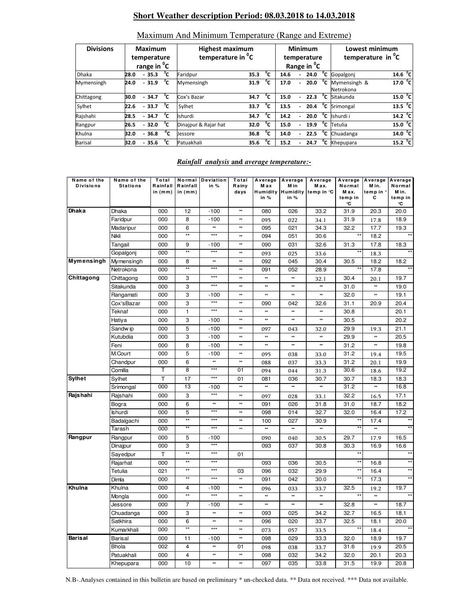# **Short Weather description Period: 08.03.2018 to 14.03.2018**

| <b>Divisions</b> | Maximum<br>temperature<br>range in <sup>o</sup> C |  |                        |              | <b>Highest maximum</b><br>temperature in <sup>o</sup> C |      |    |      | <b>Minimum</b><br>temperature<br>Range in <sup>o</sup> C |                | Lowest minimum<br>temperature in <sup>o</sup> C |                           |  |
|------------------|---------------------------------------------------|--|------------------------|--------------|---------------------------------------------------------|------|----|------|----------------------------------------------------------|----------------|-------------------------------------------------|---------------------------|--|
| <b>Dhaka</b>     | 28.0                                              |  | $-35.3$ $\sqrt[12]{C}$ |              | Faridpur                                                | 35.3 | °c | 14.6 | 24.0                                                     | °c             | Gopalgonj                                       | 14.6 <sup>o</sup> C       |  |
| Mymensingh       | 24.0                                              |  | $-31.9$ °C             |              | Mymensingh                                              | 31.9 | °c | 17.0 | 20.0                                                     | °c             | Mymensingh &<br>Netrokona                       | 17.0 <sup>o</sup> C       |  |
| Chittagong       | 30.0                                              |  | $-34.7\degree$ C       |              | Cox's Bazar                                             | 34.7 | °c | 15.0 | 22.3                                                     | °c             | Sitakunda                                       | 15.0 <sup>o</sup> C       |  |
| Sylhet           | 22.6                                              |  | $-33.7$                | °c           | Sylhet                                                  | 33.7 | °c | 13.5 | 20.4                                                     | $^{\circ}$ c   | Srimongal                                       | 13.5 <sup>0</sup> C       |  |
| Rajshahi         | 28.5                                              |  | $-34.7$                | °c           | <b>Ishurdi</b>                                          | 34.7 | °c | 14.2 | 20.0                                                     | °c             | Ishurdi i                                       | $14.2 \text{ }^{\circ}$ C |  |
| Rangpur          | 26.5                                              |  | $-32.0$                | °c           | Dinajpur & Rajar hat                                    | 32.0 | °c | 15.0 | 19.9                                                     | °c             | Tetulia                                         | 15.0 <sup>o</sup> C       |  |
| Khulna           | 32.0                                              |  | $-36.8$                | $^{\circ}$ c | Jessore                                                 | 36.8 | °c | 14.0 | 22.5                                                     | °⊂             | Chuadanga                                       | 14.0 <sup>0</sup> C       |  |
| <b>Barisal</b>   | 32.0                                              |  | $-35.6$                | °c           | Patuakhali                                              | 35.6 | °c | 15.2 | 24.7                                                     | $\overline{c}$ | Khepupara                                       | 15.2 <sup>o</sup> C       |  |

#### Maximum And Minimum Temperature (Range and Extreme)

#### *Rainfall analysis* **and** *average temperature:-*

| Name of the<br><b>Divisions</b> | Name of the<br><b>Stations</b> | Total<br>Rainfall<br>in (mm) | Normal<br>Rainfall<br>in $(mm)$ | <b>Deviation</b><br>in % | Total<br>Rainy<br>days | Average<br>M ax<br>in % | Average<br>M in<br>Humidity Humidity<br>in % | Average<br>Max.<br>temp in °C | Average<br>Normal<br>M ax.<br>temp in<br>°C | Average<br>M in.<br>temp in °<br>С | Average<br>Normal<br>M in.<br>temp in<br>°C |
|---------------------------------|--------------------------------|------------------------------|---------------------------------|--------------------------|------------------------|-------------------------|----------------------------------------------|-------------------------------|---------------------------------------------|------------------------------------|---------------------------------------------|
| Dhaka                           | Dhaka                          | 000                          | 12                              | $-100$                   | **                     | 080                     | 026                                          | 33.2                          | 31.9                                        | 20.3                               | 20.0                                        |
|                                 | Faridpur                       | 000                          | 8                               | $-100$                   | $\ast\ast$             | 095                     | 022                                          | 34.1                          | 31.9                                        | 17.8                               | 18.9                                        |
|                                 | Madaripur                      | 000                          | 6                               | $\ast\ast$               | **                     | 095                     | 021                                          | 34.3                          | 32.2                                        | 17.7                               | 19.3                                        |
|                                 | Nikli                          | 000                          | $\star\star$                    | $***$                    | $**$                   | 094                     | 051                                          | 30.6                          | $\star\star$                                | 18.2                               |                                             |
|                                 | Tangail                        | 000                          | 9                               | $-100$                   | **                     | 090                     | 031                                          | 32.6                          | 31.3                                        | 17.8                               | 18.3                                        |
|                                 | Gopalgonj                      | 000                          | $\star\star$                    | $***$                    | **                     | 093                     | 025                                          | 33.6                          |                                             | 18.3                               |                                             |
| Mymensingh                      | Mymensingh                     | 000                          | 8                               | **                       | $\ast\ast$             | 092                     | 045                                          | 30.4                          | 30.5                                        | 18.2                               | 18.2                                        |
|                                 | Netrokona                      | 000                          | $\star\star$                    | $***$                    | $\ast\ast$             | 091                     | 052                                          | 28.9                          | $\star\star$                                | 17.8                               |                                             |
| Chittagong                      | Chittagong                     | 000                          | 3                               | $***$                    | $\ast\ast$             | **                      | **                                           | 32.1                          | 30.4                                        | 20.1                               | 19.7                                        |
|                                 | Sitakunda                      | 000                          | 3                               | $***$                    | **                     | **                      | **                                           | **                            | 31.0                                        | **                                 | 19.0                                        |
|                                 | Rangamati                      | 000                          | 3                               | $-100$                   | **                     | **                      | $\frac{1}{2}$                                | **                            | 32.0                                        | **                                 | 19.1                                        |
|                                 | Cox'sBazar                     | 000                          | 3                               | $***$                    | $\ast\ast$             | 090                     | 042                                          | 32.6                          | 31.1                                        | 20.9                               | 20.4                                        |
|                                 | Teknaf                         | 000                          | 1                               | $***$                    | **                     | **                      | **                                           | ₩                             | 30.8                                        |                                    | 20.1                                        |
|                                 | Hatiya                         | 000                          | 3                               | $-100$                   | $\ast\ast$             | $\ast\ast$              | $\frac{1}{2}$                                | **                            | 30.5                                        |                                    | 20.2                                        |
|                                 | Sandw ip                       | 000                          | 5                               | $-100$                   | **                     | 097                     | 043                                          | 32.0                          | 29.9                                        | 19.3                               | 21.1                                        |
|                                 | Kutubdia                       | 000                          | 3                               | $-100$                   | **                     | **                      | **                                           | $**$                          | 29.9                                        | **                                 | 20.5                                        |
|                                 | Feni                           | 000                          | 8                               | $-100$                   | $\ast\ast$             | **                      | $\ast\ast$                                   | $\ast\ast$                    | 31.2                                        | **                                 | 19.8                                        |
|                                 | M.Court                        | 000                          | 5                               | $-100$                   | $\ast\ast$             | 095                     | 038                                          | 33.0                          | 31.2                                        | 19.4                               | 19.5                                        |
|                                 | Chandpur                       | 000                          | 6                               | $\ast\ast$               | $\ast\ast$             | 088                     | 037                                          | 33.3                          | 31.2                                        | 20.1                               | 19.9                                        |
|                                 | Comilla                        | Т                            | 8                               | $***$                    | 01                     | 094                     | 044                                          | 31.3                          | 30.6                                        | 18.6                               | 19.2                                        |
| Sylhet                          | Sylhet                         | T                            | 17                              | $***$                    | 01                     | 081                     | 036                                          | 30.7                          | 30.7                                        | 18.3                               | 18.3                                        |
|                                 | Srimongal                      | 000                          | 13                              | $-100$                   | $**$                   | **                      | $\ast\ast$                                   | **                            | 31.2                                        | **                                 | 16.8                                        |
| Rajshahi                        | Rajshahi                       | 000                          | 3                               | $***$                    | **                     | 097                     | 028                                          | 33.1                          | 32.2                                        | 16.5                               | 17.1                                        |
|                                 | Bogra                          | 000                          | 6                               | $\ast\ast$               | $\ast\ast$             | 091                     | 026                                          | 31.8                          | 31.0                                        | 18.7                               | 18.2                                        |
|                                 | <b>Ishurdi</b>                 | 000                          | 5                               | $***$                    | $\ast\ast$             | 098                     | 014                                          | 32.7                          | 32.0                                        | 16.4                               | 17.2                                        |
|                                 | Badalgachi                     | 000                          | $\star\star$                    | $***$                    | **                     | 100                     | 027                                          | 30.9                          |                                             | 17.4                               |                                             |
|                                 | Tarash                         | 000                          | $\star\star$                    | $***$                    | $\ast\ast$             | **                      | **                                           | **                            |                                             | **                                 |                                             |
| Rangpur                         | Rangpur                        | 000                          | 5                               | $-100$                   |                        | 090                     | 040                                          | 30.5                          | 29.7                                        | 17.9                               | 16.5                                        |
|                                 | Dinajpur                       | 000                          | 3                               | $***$                    |                        | 093                     | 037                                          | 30.8                          | 30.3                                        | 16.9                               | 16.6                                        |
|                                 | Sayedpur                       | T                            | $\star\star$                    | $***$                    | 01                     |                         |                                              |                               | $\star\star$                                |                                    |                                             |
|                                 | Rajarhat                       | 000                          | $\star\star$                    | $***$                    |                        | 093                     | 036                                          | 30.5                          | $\star\star$                                | 16.8                               |                                             |
|                                 | Tetulia                        | 021                          | $^{\star\star}$                 | $***$                    | 03                     | 096                     | 032                                          | 29.9                          | $\star\star$                                | 16.4                               | $\star\star$                                |
|                                 | Dimla                          | 000                          | **                              | $***$                    | $\ast\ast$             | 091                     | 042                                          | 30.0                          | **                                          | 17.3                               |                                             |
| Khulna                          | Khulna                         | 000                          | 4                               | $-100$                   | $\ast\ast$             | 096                     | 033                                          | 33.7                          | 32.5                                        | 19.2                               | 19.7                                        |
|                                 | Mongla                         | 000                          | $\star\star$                    | $***$                    | **                     | $\ast\ast$              | $\frac{1}{2}$                                | **                            |                                             | **                                 |                                             |
|                                 | Jessore                        | 000                          | 7                               | $-100$                   | **                     | $\ast\ast$              | $\frac{1}{2}$                                | $\ast\ast$                    | 32.8                                        | **                                 | 18.7                                        |
|                                 | Chuadanga                      | 000                          | 3                               | **                       | $**$                   | 093                     | 025                                          | 34.2                          | 32.7                                        | 16.5                               | 18.1                                        |
|                                 | Satkhira                       | 000                          | 6                               | **                       | **                     | 096                     | 020                                          | 33.7                          | 32.5                                        | 18.1                               | 20.0                                        |
|                                 | Kumarkhali                     | 000                          | $\overline{**}$                 | $***$                    | $**$                   | 073                     | 057                                          | 33.5                          |                                             | 18.4                               |                                             |
| <b>Barisal</b>                  | <b>Barisal</b>                 | 000                          | 11                              | $-100$                   | $\ast\ast$             | 098                     | 029                                          | 33.3                          | 32.0                                        | 18.9                               | 19.7                                        |
|                                 | <b>Bhola</b>                   | 002                          | $\overline{4}$                  | $\ast\ast$               | 01                     | 098                     | 038                                          | 33.7                          | 31.6                                        | 19.9                               | 20.5                                        |
|                                 | Patuakhali                     | 000                          | $\overline{4}$                  | **                       | $\ast\ast$             | 098                     | 032                                          | 34.2                          | 32.0                                        | 20.1                               | 20.3                                        |
|                                 | Khepupara                      | 000                          | 10                              | **                       | $\ast\ast$             | 097                     | 035                                          | 33.8                          | 31.5                                        | 19.9                               | 20.8                                        |

N.B-.Analyses contained in this bulletin are based on preliminary \* un-checked data. \*\* Data not received. \*\*\* Data not available.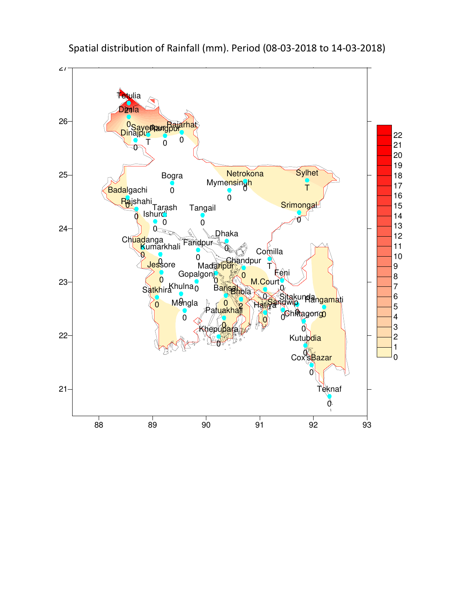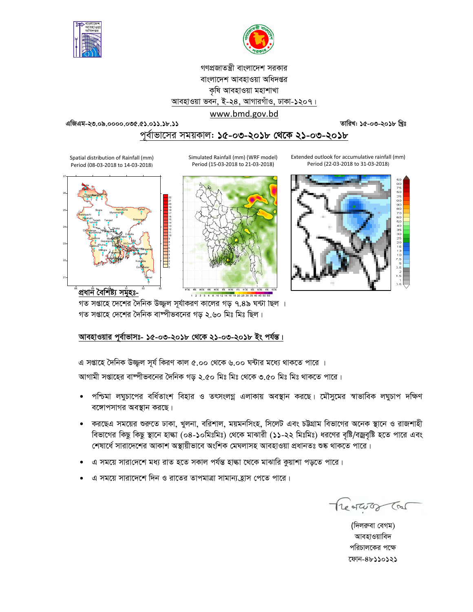



# গণপ্রজাতন্ত্রী বাংলাদেশ সরকার বাংলাদেশ আবহাওয়া অধিদপ্তর কৃষি আবহাওয়া মহাশাখা আবহাওয়া ভবন, ই-২৪, আগারগাঁও, ঢাকা-১২০৭। www.bmd.gov.bd

তারিখ: ১৫-০৩-২০১৮ খ্রিঃ

এজিএম-২৩.০৯.০০০০.০৩৫.৫১.০১১.১৮.১১

# পূর্বাভাসের সময়কাল: ১৫-০৩-২০১৮ থেকে ২১-০৩-২০১৮

Spatial distribution of Rainfall (mm) Period (08-03-2018 to 14-03-2018)



Simulated Rainfall (mm) (WRF model) Period (15-03-2018 to 21-03-2018)



Extended outlook for accumulative rainfall (mm) Period (22-03-2018 to 31-03-2018)



গত সপ্তাহে দেশের দৈনিক উজ্জ্বল সূর্যাকরণ কালের গড় ৭.৪৯ ঘন্টা ছিল । গত সপ্তাহে দেশের দৈনিক বাষ্পীভবনের গড় ২.৬০ মিঃ মিঃ ছিল।

## আবহাওয়ার পূর্বাভাসঃ- ১৫-০৩-২০১৮ থেকে ২১-০৩-২০১৮ ইং পর্যন্ত।

এ সপ্তাহে দৈনিক উজ্জুল সূর্য কিরণ কাল ৫.০০ থেকে ৬.০০ ঘন্টার মধ্যে থাকতে পারে ।

আগামী সপ্তাহের বাষ্পীভবনের দৈনিক গড় ২.৫০ মিঃ মিঃ থেকে ৩.৫০ মিঃ মিঃ থাকতে পারে।

- পশ্চিমা লঘুচাপের বর্ধিতাংশ বিহার ও তৎসংলগ্ন এলাকায় অবস্থান করছে। মৌসুমের স্বাভাবিক লঘুচাপ দক্ষিণ  $\bullet$ বঙ্গোপসাগর অবস্থান করছে।
- করছেএ সময়ের শুরুতে ঢাকা, খুলনা, বরিশাল, ময়মনসিংহ, সিলেট এবং চট্টগ্রাম বিভাগের অনেক স্থানে ও রাজশাহী বিভাগের কিছু কিছু স্থানে হাঙ্কা (০৪-১০মিঃমিঃ) থেকে মাঝারী (১১-২২ মিঃমিঃ) ধরণের বৃষ্টি/বজ্রবৃষ্টি হতে পারে এবং শেষার্ধে সারাদেশের আকাশ অস্থায়ীভাবে অংশিক মেঘলাসহ আবহাওয়া প্রধানতঃ শুষ্ক থাকতে পারে।
- এ সময়ে সারাদেশে মধ্য রাত হতে সকাল পর্যন্ত হাল্কা থেকে মাঝারি কুয়াশা পড়তে পারে।
- এ সময়ে সারাদেশে দিন ও রাতের তাপমাত্রা সামান্য হ্রাস পেতে পারে।

Treatures Cal

(দিলরুবা বেগম) আবহাওয়াবিদ পরিচালকের পক্ষে ফোন-৪৮১১০১২১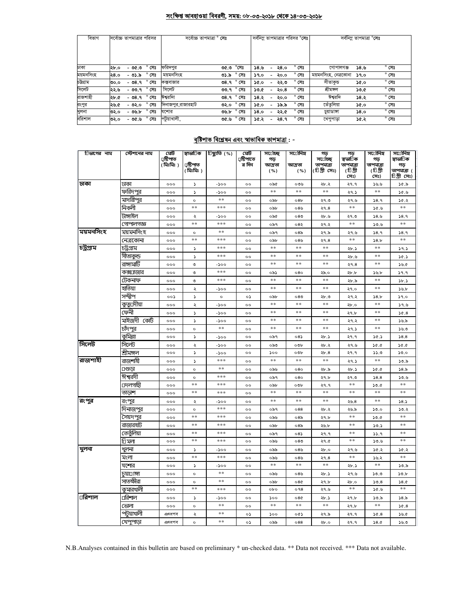#### সংক্ষিপ্ত আবহাওয়া বিবরণী, সময়: ০৮-০৩-২০১৮ থেকে ১৪-০৩-২০১৮

| বিভাগ     | সৰ্বোচ্চ তাপমাত্ৰার পরিসর |         |                | সৰ্বোচ্চ তাপমাত্ৰা ° <b>সেঃ</b> |                        |  |      |      | সর্বনিম্ন তাপমাত্রার পরিসর ° <b>সেঃ</b> | সর্বনিম তাপমাত্রা °সেঃ |      |                |  |
|-----------|---------------------------|---------|----------------|---------------------------------|------------------------|--|------|------|-----------------------------------------|------------------------|------|----------------|--|
| ঢাকা      | ২৮.০                      | - ৩৫.৩  | $^{\circ}$ সেঃ | ফরিদপুর                         | $^\circ$ সেঃ<br>৩৫.৩   |  | ১৪.৬ | ২8.० | $^{\circ}$ সেঃ                          | গোপালগঞ্জ              | 38.9 | $^{\circ}$ সেঃ |  |
| ময়মনসিংহ | २8.०                      | - ৩১.৯  | সেঃ            | ময়মনসিংহ                       | $^{\circ}$ সেঃ<br>৩১.৯ |  | ১৭.০ | ২০.০ | সেঃ                                     | ময়মনসিংহ, নেত্ৰকোনা   | 59.0 | $^{\circ}$ সেঃ |  |
| চউগ্ৰাম   | ৩০.০                      | ৩৪.৭    | $^{\circ}$ সেঃ | কক্সবাজার                       | $^{\circ}$ সেঃ<br>৩৪.৭ |  | ১৫.০ | ২২.৩ | $^{\circ}$ সেঃ                          | সীতাকুভ                | ১৫.০ | $^{\circ}$ সেঃ |  |
| সিলেট     | ২২.৬                      | - ৩৩.৭  | $^{\circ}$ সেঃ | সিলেট                           | ৩৩.৭° সেঃ              |  | ১৩.৫ | ২০.৪ | $^{\circ}$ সেঃ                          | শ্ৰীমঙ্গল              | ১৩.৫ | $^{\circ}$ সেঃ |  |
| রাজশাহী   | ২৮.৫                      | $-08.9$ | $^{\circ}$ সেঃ | ঈশ্বরদিা                        | $^{\circ}$ সেঃ<br>৩৪.৭ |  | ১৪.২ | ২০.০ | $^{\circ}$ সেঃ                          | ঈশ্বরদি                | ১৪.২ | $^{\circ}$ সেঃ |  |
| রংপুর     | ২৬.৫                      | - ৩২.০  | $^{\circ}$ সেঃ | াদনাজপুর,রাজারহাট               | $^{\circ}$ সেঃ<br>৩২.০ |  | ১৫.০ | ১৯.৯ | $^{\circ}$ সেঃ                          | তেঁতুলিয়া             | ১৫.০ | $^{\circ}$ সেঃ |  |
| খুলনা     | ৩২.০                      | -৩৬.৮   | সেঃ            | যশোর                            | $^{\circ}$ সেঃ<br>৩৬.৮ |  | ە.8د | ২২.৫ | $^{\circ}$ সেঃ                          | চয়াডাঙ্গা             | 58.0 | $^{\circ}$ সেঃ |  |
| বরিশাল    | ৩২.০                      | -৩৫.৬   | $^{\circ}$ সেঃ | পটুয়াখালী,                     | $^{\circ}$ সেঃ<br>৩৫.৬ |  | ১৫.২ | ২8.৭ | $^{\circ}$ সেঃ                          | খেপুপাড়া              | ১৫.২ | $^{\circ}$ সেঃ |  |

# <u> বৃষ্টিপাভ বিশ্লেষন এবং স্বাভাবিক ভাপমাত্ৰা</u> : -

| চিভাগের নাম | স্টেশনের নাম       | মেট<br>্ৰষ্টিপাত<br>( মিঃমিঃ) | স্বাভা∏ক<br>⊔ষ্টিপাত<br>( মিঃমিঃ ) | িছ্যুতি (%) | মেট<br>্রষ্টিপাতে<br>র দিন | সর্তোচ্ছ<br>গড়<br>আদ্ৰতা<br>( %) | সর্⊡েনিম<br>আদ্ৰতা<br>( %) | গড<br>সর্ােচ্ছ<br>তাপমাত্রা<br>(টিগ্ৰী সেঃ) | গড<br>স্বভা∏ক<br>তাপমাত্রা<br>(চিগ্ৰী<br>সেঃ) | সর্ােনিম<br>গড়<br>তাপমাত্রা<br>(চিগ্ৰী<br>সেঃ) | সর্তোনিম্ন<br>স্বাভা∏ক<br>গড়<br>তাপমাত্রা (<br>ািগীসেঃ) |
|-------------|--------------------|-------------------------------|------------------------------------|-------------|----------------------------|-----------------------------------|----------------------------|---------------------------------------------|-----------------------------------------------|-------------------------------------------------|----------------------------------------------------------|
| ঢাকা        | ঢাকা               | 000                           | S                                  | $-500$      | 0 <sup>o</sup>             | ০৯৫                               | ০৩৬                        | ২৮.২                                        | २१.१                                          | ১৬.৬                                            | ১৫.৯                                                     |
|             | ফরিদপুর            | 000                           | S                                  | -200        | $\circ$                    | $**$                              | $**$                       | $**$                                        | ২৭.১                                          | **                                              | 9.96                                                     |
|             | মাদারীপুর          | 000                           | $\circ$                            | $**$        | oo                         | ০৯৮                               | 08 <sub>b</sub>            | ২৭.৩                                        | ২৭.৬                                          | 38.9                                            | 56.3                                                     |
|             | নিকলী              | 000                           | $**$                               | ***         | $^{\circ}$                 | ০৯৮                               | ০৪৬                        | 29.8                                        | $**$                                          | 9.96                                            | $**$                                                     |
|             | টাঙ্গাইল           | 000                           | ২                                  | -200        | $^{\circ}$                 | ০৯৫                               | 080                        | ২৮.৬                                        | ২৭.৩                                          | 38.9                                            | 38.9                                                     |
|             | গোপালগজ্ঞ          | 000                           | **                                 | ***         | $^{\circ}$                 | ০৯৭                               | 082                        | ২৭.২                                        | $**$                                          | 30.9                                            | **                                                       |
| ময়মনসিংহ   | ময়মনসিংহ          | 000                           | $\circ$                            | **          | $^{\circ}$                 | ০৯৭                               | 08 <sub>o</sub>            | ২৭.৯                                        | ২৭.৬                                          | 38.9                                            | 38.9                                                     |
|             | নেত্ৰকোনা          | 000                           | $**$                               | ***         | $^{\circ}$                 | ০৯৮                               | ০ $8$ ৬                    | २१.8                                        | $**$                                          | 58.5                                            | $**$                                                     |
| চট্টগ্ৰাম   | চট্ৰগ্ৰাম          | 000                           | 5                                  | ***         | $\circ$                    | **                                | $**$                       | $\ast\ast$                                  | ২৮.১                                          | **                                              | 39.5                                                     |
|             | সীতাকুন্ড          | 000                           | S                                  | ***         | oo                         | $**$                              | $**$                       | $***$                                       | ২৮.৬                                          | **                                              | 30.5                                                     |
|             | <u>রাঙ্</u> গামাটি | 000                           | ৩                                  | -200        | $^{\circ}$                 | **                                | $**$                       | **                                          | २१.8                                          | **                                              | ১৬.৫                                                     |
|             | কক্স⊔াজার          | 000                           | ৩                                  | ***         | oo                         | ০৯১                               | 080                        | ২৯.০                                        | ২৮.৮                                          | ১৬.৮                                            | 9.9                                                      |
|             | টেকনাফ             | 000                           | ৩                                  | ***         | $\circ$                    | $**$                              | $**$                       | $**$                                        | ২৮.৯                                          | **                                              | 3b.5                                                     |
|             | হাতিয়া            | 000                           | ২                                  | -200        | $^{oo}$                    | $**$                              | $**$                       | $***$                                       | ২৭.০                                          | $\ast\ast$                                      | ১৬.৮                                                     |
|             | সন্দ্বীপ           | ००১                           | S                                  | $\circ$     | ০১                         | ০৯৮                               | 080                        | ২৮.৩                                        | ২৭.২                                          | 58.5                                            | 59.0                                                     |
|             | কুতু্⊔দীয়া        | 000                           | ২                                  | $-500$      | $^{\circ}$                 | $**$                              | $**$                       | $**$                                        | ২৮.০                                          | $**$                                            | 9.6                                                      |
|             | ফেনী               | 000                           | $\mathsf S$                        | -200        | oo                         | **                                | **                         | **                                          | ২৭.৮                                          | **                                              | 36.8                                                     |
|             | মাইজদী কোঁট        | 000                           | 2                                  | $-500$      | $^{oo}$                    | **                                | $**$                       | **                                          | ২৭.২                                          | **                                              | ১৬.৯                                                     |
|             | চাঁদপুর            | 000                           | $\circ$                            | **          | 0 <sup>o</sup>             | **                                | $**$                       | **                                          | ২৭.১                                          | **                                              | ১৬.৩                                                     |
|             | কুমিল্লা           | 000                           | $\blacktriangleright$              | -১০০        | $^{\circ}$                 | ০৯৭                               | $08\lambda$                | ২৮.১                                        | ২৭.৭                                          | 30.5                                            | 58.8                                                     |
| সিলেট       | সিলেট              | 000                           | ২                                  | $-500$      | 0 <sup>o</sup>             | ಂನಿಲ                              | oob                        | ২৮.২                                        | ২৭.৬                                          | 30.0                                            | 50.0                                                     |
|             | শ্ৰীমঙ্গল          | 000                           | $\mathsf S$                        | -200        | 0 <sup>o</sup>             | 500                               | oob                        | 2b.8                                        | २१.१                                          | 33.0                                            | 50.0                                                     |
| রাজশাহী     | রাজশাহী            | 000                           | 2                                  | ***         | $^{\circ}$                 | $**$                              | $***$                      | $***$                                       | ২৭.১                                          | **                                              | ১৩.৯                                                     |
|             | ⊔গুডা              | 000                           | $\circ$                            | $**$        | $^{\circ}$                 | ০৯৬                               | 080                        | ২৮.৯                                        | ২৮.১                                          | 30.0                                            | 58.5                                                     |
|             | ঈশ্বরদী            | 000                           | $\circ$                            | ***         | $^{\circ}$                 | ০৯৭                               | 080                        | ২৭.৮                                        | ২৭.৩                                          | 38.8                                            | 50.6                                                     |
|             | ⊔দলগাছী            | 000                           | $**$                               | ***         | $^{\circ}$                 | obb                               | oob                        | २१.१                                        | **                                            | 30.6                                            | **                                                       |
|             | তাড়াশ             | 000                           | **                                 | ***         | $^{\circ}$                 | **                                | **                         | **                                          | $**$                                          | **                                              | **                                                       |
| রংপুর       | রংপুর              | 000                           | ২                                  | -200        | $^{\circ}$                 | $**$                              | $**$                       | $**$                                        | ২৬.৪                                          | **                                              | 38.5                                                     |
|             | দিনাজপুর           | 000                           | $\circ$                            | ***         | $^{\circ}$                 | ০৯৭                               | 088                        | ২৮.২                                        | ২৬.৯                                          | 50.0                                            | 50.3                                                     |
|             | সৈয়দপুর           | 000                           | $**$                               | ***         | oo                         | ০৯৬                               | 08 <sub>o</sub>            | ২৭.৮                                        | $**$                                          | 50.6                                            | **                                                       |
|             | রাজারহাট           | 000                           | **                                 | ***         | $^{\circ}$                 | ০৯৮                               | 08 <sub>o</sub>            | ২৬.৮                                        | **                                            | 30.5                                            | **                                                       |
|             | তেতুঁলিয়া         | 000                           | **                                 | ***         | oo                         | ০৯৭                               | 08                         | २१.१                                        | **                                            | 33.9                                            | **                                                       |
|             | াি মলা             | 000                           | **                                 | ***         | $^{oo}$                    | ০৯৬                               | 080                        | ২৭.৫                                        | **                                            | 30.6                                            | **                                                       |
| খুলনা       | খুলনা              | 000                           | ১                                  | -200        | oo                         | ০৯৯                               | ০৪৬                        | ২৮.০                                        | ২৭.৬                                          | ১৫.২                                            | ১৫.২                                                     |
|             | মংলা               | 000                           | $**$                               | ***         | oo                         | ০৯৬                               | ০৪৬                        | २१.8                                        | $**$                                          | ১৬.২                                            | $**$                                                     |
|             | যশোর               | 000                           | r                                  | -200        | $^{\circ}$                 | $**$                              | **                         | $**$                                        | ২৮.১                                          | $**$                                            | ১৩.৯                                                     |
|             | চয়া⊡াঙ্গা         | 000                           | $\circ$                            | **          | $^{\circ}$                 | ০৯৬                               | ০৪৬                        | ২৮.১                                        | ২৭.৬                                          | ১৩.৩                                            | 50.5                                                     |
|             | সাতক্ষীরা          | 000                           | $\circ$                            | **          | $^{oo}$                    | ০৯৮                               | 080                        | ২৭.৮                                        | ২৮.০                                          | 50.8                                            | 38.0                                                     |
|             | কুমারখালী          | 000                           | **                                 | ***         | $^{oo}$                    | obo                               | 098                        | ২৭.৬                                        | **                                            | 9.96                                            | **                                                       |
| ⊔রিশাল      | ⊔রিশাল             | 000                           | 2                                  | -১০০        | oo                         | ১০০                               | 080                        | ২৮.১                                        | ২৭.৮                                          | ১৩.৯                                            | 58.5                                                     |
|             | ভোলা               | 000                           | $\circ$                            | **          | $\circ$                    | **                                | **                         | **                                          | ২৭.৮                                          | $**$                                            | 36.8                                                     |
|             | পটয়াখালী          | এৎধপব                         | ২                                  | **          | ০১                         | 500                               | ০৫১                        | ২৭.৯                                        | २१.१                                          | 36.8                                            | ১৬.৫                                                     |
|             | খেপুপাড়া          | এৎধপব                         | $\circ$                            | $**$        | ০১                         | ০৯৯                               | 088                        | ২৮.০                                        | २१.१                                          | 38.0                                            | ১৬.৩                                                     |

N.B.Analyses contained in this bulletin are based on preliminary \* un-checked data. \*\* Data not received. \*\*\* Data not available.